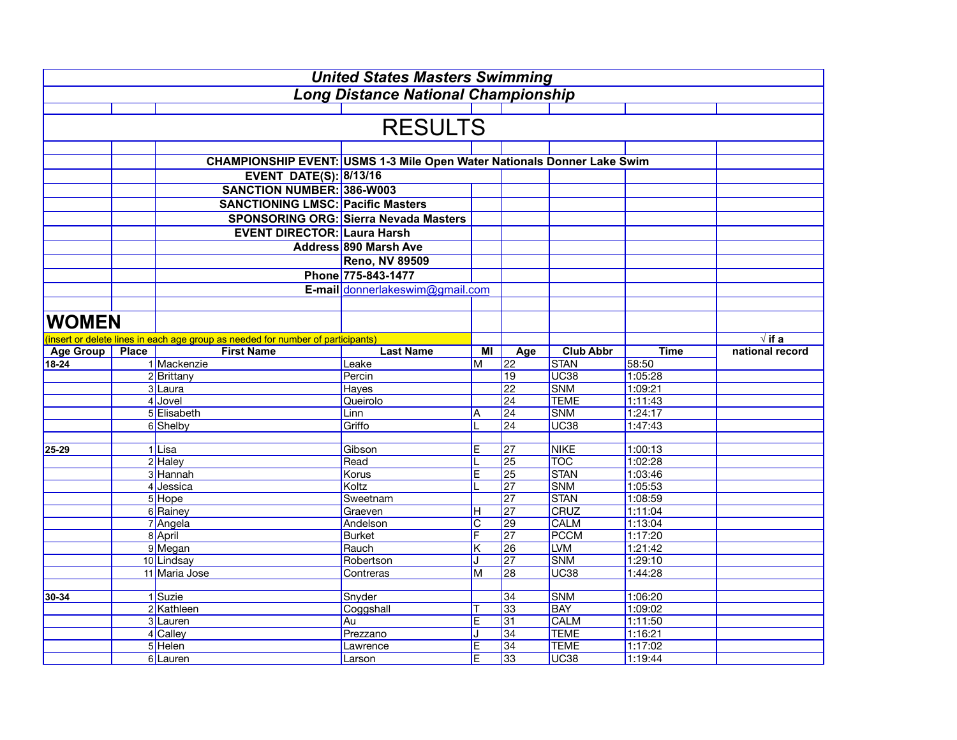|              |              |                                                                                 | <b>United States Masters Swimming</b>        |                       |                 |                           |                    |                 |
|--------------|--------------|---------------------------------------------------------------------------------|----------------------------------------------|-----------------------|-----------------|---------------------------|--------------------|-----------------|
|              |              |                                                                                 | <b>Long Distance National Championship</b>   |                       |                 |                           |                    |                 |
|              |              |                                                                                 |                                              |                       |                 |                           |                    |                 |
|              |              |                                                                                 | <b>RESULTS</b>                               |                       |                 |                           |                    |                 |
|              |              |                                                                                 |                                              |                       |                 |                           |                    |                 |
|              |              | CHAMPIONSHIP EVENT: USMS 1-3 Mile Open Water Nationals Donner Lake Swim         |                                              |                       |                 |                           |                    |                 |
|              |              | <b>EVENT DATE(S): 8/13/16</b>                                                   |                                              |                       |                 |                           |                    |                 |
|              |              | <b>SANCTION NUMBER: 386-W003</b>                                                |                                              |                       |                 |                           |                    |                 |
|              |              | <b>SANCTIONING LMSC: Pacific Masters</b>                                        |                                              |                       |                 |                           |                    |                 |
|              |              |                                                                                 | <b>SPONSORING ORG: Sierra Nevada Masters</b> |                       |                 |                           |                    |                 |
|              |              | <b>EVENT DIRECTOR: Laura Harsh</b>                                              |                                              |                       |                 |                           |                    |                 |
|              |              |                                                                                 | <b>Address 890 Marsh Ave</b>                 |                       |                 |                           |                    |                 |
|              |              |                                                                                 | <b>Reno, NV 89509</b>                        |                       |                 |                           |                    |                 |
|              |              |                                                                                 | Phone 775-843-1477                           |                       |                 |                           |                    |                 |
|              |              |                                                                                 |                                              |                       |                 |                           |                    |                 |
|              |              |                                                                                 | E-mail donnerlakeswim@gmail.com              |                       |                 |                           |                    |                 |
|              |              |                                                                                 |                                              |                       |                 |                           |                    |                 |
| <b>WOMEN</b> |              |                                                                                 |                                              |                       |                 |                           |                    |                 |
|              |              | (insert or delete lines in each age group as needed for number of participants) |                                              |                       |                 |                           |                    | $\sqrt{if a}$   |
| Age Group    | <b>Place</b> | <b>First Name</b>                                                               | <b>Last Name</b>                             | ΜI                    | Age             | <b>Club Abbr</b>          | <b>Time</b>        | national record |
| 18-24        |              | 1 Mackenzie                                                                     | Leake                                        | М                     | 22              | <b>STAN</b>               | 58:50              |                 |
|              |              | 2 Brittany                                                                      | Percin                                       |                       | 19              | <b>UC38</b>               | 1:05:28            |                 |
|              |              | 3 Laura                                                                         | Hayes                                        |                       | 22              | <b>SNM</b>                | 1:09:21            |                 |
|              |              | 4 Jovel                                                                         | Queirolo                                     |                       | $\overline{24}$ | <b>TEME</b>               | 1:11:43            |                 |
|              |              | 5 Elisabeth                                                                     | Linn                                         | Α                     | $\overline{24}$ | <b>SNM</b>                | 1:24:17            |                 |
|              |              | 6 Shelby                                                                        | Griffo                                       |                       | 24              | <b>UC38</b>               | 1:47:43            |                 |
|              |              |                                                                                 |                                              |                       |                 |                           |                    |                 |
| 25-29        |              | 1Lisa                                                                           | Gibson                                       | $\overline{E}$        | $\overline{27}$ | <b>NIKE</b><br><b>TOC</b> | 1:00:13            |                 |
|              |              | 2 Haley<br>3 Hannah                                                             | Read                                         | T<br>$\overline{E}$   | 25<br>25        | <b>STAN</b>               | 1:02:28<br>1:03:46 |                 |
|              |              | 4 Jessica                                                                       | Korus<br>Koltz                               |                       | 27              | <b>SNM</b>                | 1:05:53            |                 |
|              |              | 5 Hope                                                                          | Sweetnam                                     |                       | 27              | <b>STAN</b>               | 1:08:59            |                 |
|              |              | 6 Rainey                                                                        | Graeven                                      | Н                     | 27              | <b>CRUZ</b>               | 1:11:04            |                 |
|              |              | 7 Angela                                                                        | Andelson                                     | $\overline{\text{C}}$ | 29              | <b>CALM</b>               | 1:13:04            |                 |
|              |              | 8 April                                                                         | <b>Burket</b>                                | F                     | 27              | <b>PCCM</b>               | 1:17:20            |                 |
|              |              | 9 Megan                                                                         | Rauch                                        | Κ                     | 26              | <b>LVM</b>                | 1:21:42            |                 |
|              |              | 10 Lindsay                                                                      | Robertson                                    |                       | 27              | <b>SNM</b>                | 1:29:10            |                 |
|              |              | 11 Maria Jose                                                                   | Contreras                                    | M                     | 28              | <b>UC38</b>               | 1:44:28            |                 |
|              |              |                                                                                 |                                              |                       |                 |                           |                    |                 |
| 30-34        |              | 1 Suzie                                                                         | Snyder                                       |                       | 34              | <b>SNM</b>                | 1:06:20            |                 |
|              |              | 2 Kathleen                                                                      | Coggshall                                    | Т                     | 33              | <b>BAY</b>                | 1:09:02            |                 |
|              |              | 3 Lauren                                                                        | Au                                           | $\overline{E}$        | 31              | <b>CALM</b>               | 1:11:50            |                 |
|              |              | 4 Calley                                                                        | Prezzano                                     | J                     | 34              | <b>TEME</b>               | 1:16:21            |                 |
|              |              | 5 Helen                                                                         | Lawrence                                     | $\overline{E}$        | 34              | <b>TEME</b>               | 1:17:02            |                 |
|              |              | 6 Lauren                                                                        | Larson                                       | $\overline{E}$        | 33              | <b>UC38</b>               | 1:19:44            |                 |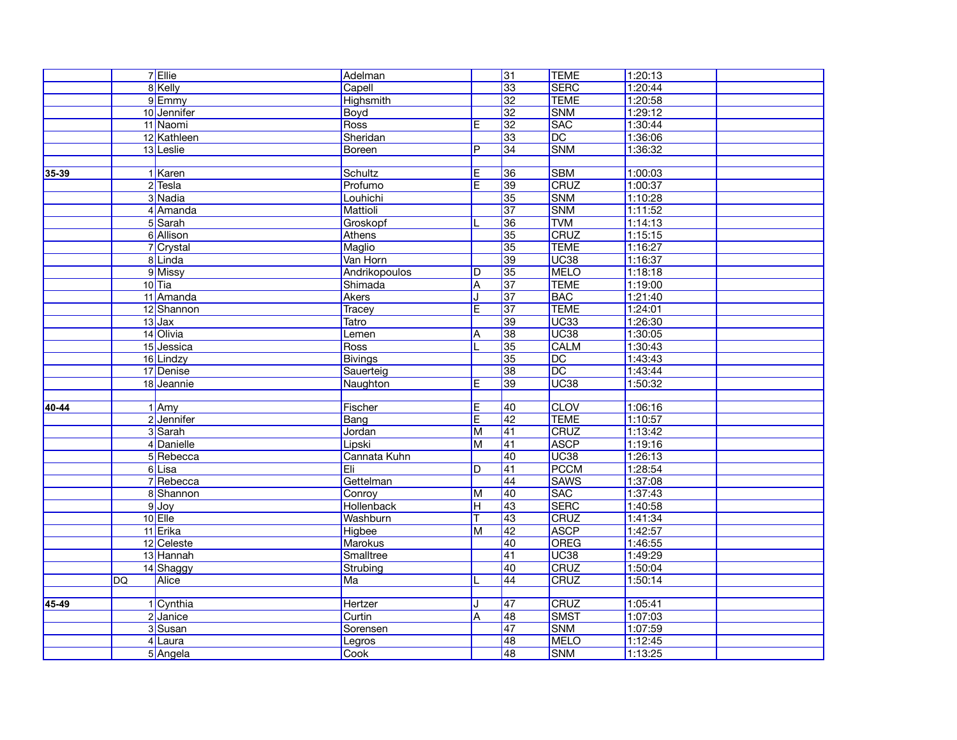|       |    | 7 Ellie     | Adelman        |                         | $\overline{31}$ | <b>TEME</b>      | 1:20:13 |  |
|-------|----|-------------|----------------|-------------------------|-----------------|------------------|---------|--|
|       |    | 8 Kelly     | Capell         |                         | 33              | <b>SERC</b>      | 1:20:44 |  |
|       |    | 9Emmy       | Highsmith      |                         | 32              | <b>TEME</b>      | 1:20:58 |  |
|       |    | 10 Jennifer | Boyd           |                         | 32              | <b>SNM</b>       | 1:29:12 |  |
|       |    | 11 Naomi    | Ross           | E                       | 32              | <b>SAC</b>       | 1:30:44 |  |
|       |    | 12 Kathleen | Sheridan       |                         | 33              | $\overline{DC}$  | 1:36:06 |  |
|       |    | 13 Leslie   | Boreen         | P                       | 34              | <b>SNM</b>       | 1:36:32 |  |
|       |    |             |                |                         |                 |                  |         |  |
| 35-39 |    | 1 Karen     | Schultz        | E                       | 36              | <b>SBM</b>       | 1:00:03 |  |
|       |    | $2$ Tesla   | Profumo        | E.                      | 39              | CRUZ             | 1:00:37 |  |
|       |    | 3 Nadia     | Louhichi       |                         | 35              | <b>SNM</b>       | 1:10:28 |  |
|       |    | 4 Amanda    | Mattioli       |                         | $\overline{37}$ | <b>SNM</b>       | 1:11:52 |  |
|       |    | 5 Sarah     | Groskopf       |                         | 36              | <b>TVM</b>       | 1:14:13 |  |
|       |    | 6 Allison   | Athens         |                         | 35              | CRUZ             | 1:15:15 |  |
|       |    | 7 Crystal   | Maglio         |                         | 35              | <b>TEME</b>      | 1:16:27 |  |
|       |    | 8Linda      | Van Horn       |                         | 39              | UC <sub>38</sub> | 1:16:37 |  |
|       |    | 9 Missy     | Andrikopoulos  | D                       | 35              | <b>MELO</b>      | 1:18:18 |  |
|       |    | $10$ Tia    | Shimada        | Α                       | $\overline{37}$ | <b>TEME</b>      | 1:19:00 |  |
|       |    | 11 Amanda   | Akers          | J                       | $\overline{37}$ | <b>BAC</b>       | 1:21:40 |  |
|       |    | 12 Shannon  | Tracey         | $\overline{\mathsf{E}}$ | 37              | <b>TEME</b>      | 1:24:01 |  |
|       |    | $13$ Jax    | <b>Tatro</b>   |                         | 39              | UC <sub>33</sub> | 1:26:30 |  |
|       |    | 14 Olivia   | Lemen          | A                       | 38              | UC <sub>38</sub> | 1:30:05 |  |
|       |    | 15 Jessica  | Ross           |                         | 35              | <b>CALM</b>      | 1:30:43 |  |
|       |    | 16 Lindzy   | <b>Bivings</b> |                         | 35              | DC               | 1:43:43 |  |
|       |    | 17 Denise   | Sauerteig      |                         | 38              | $\overline{DC}$  | 1:43:44 |  |
|       |    | 18 Jeannie  | Naughton       | E                       | 39              | UC <sub>38</sub> | 1:50:32 |  |
|       |    |             |                |                         |                 |                  |         |  |
| 40-44 |    | $1$ Amy     | Fischer        | Ε                       | $ 40\rangle$    | <b>CLOV</b>      | 1:06:16 |  |
|       |    | 2 Jennifer  | Bang           | $\overline{\mathsf{E}}$ | 42              | <b>TEME</b>      | 1:10:57 |  |
|       |    | 3 Sarah     | Jordan         | $\overline{\mathsf{M}}$ | 41              | CRUZ             | 1:13:42 |  |
|       |    | 4 Danielle  | Lipski         | $\overline{\mathsf{M}}$ | 41              | <b>ASCP</b>      | 1:19:16 |  |
|       |    | 5 Rebecca   | Cannata Kuhn   |                         | 40              | UC <sub>38</sub> | 1:26:13 |  |
|       |    | 6Lisa       | Eli            | D                       | $\overline{41}$ | <b>PCCM</b>      | 1:28:54 |  |
|       |    | 7 Rebecca   | Gettelman      |                         | $\overline{44}$ | <b>SAWS</b>      | 1:37:08 |  |
|       |    | 8 Shannon   | Conroy         | М                       | $\overline{40}$ | <b>SAC</b>       | 1:37:43 |  |
|       |    | $9$ Joy     | Hollenback     | н                       | $\sqrt{43}$     | <b>SERC</b>      | 1:40:58 |  |
|       |    | $10$ Elle   | Washburn       | Τ                       | $\overline{43}$ | CRUZ             | 1:41:34 |  |
|       |    | 11 Erika    | <b>Higbee</b>  | $\overline{\mathsf{M}}$ | 42              | <b>ASCP</b>      | 1:42:57 |  |
|       |    | 12 Celeste  | Marokus        |                         | 40              | <b>OREG</b>      | 1:46:55 |  |
|       |    | 13 Hannah   | Smalltree      |                         | $\overline{41}$ | UC <sub>38</sub> | 1:49:29 |  |
|       |    | 14 Shaggy   | Strubing       |                         | $\overline{40}$ | <b>CRUZ</b>      | 1:50:04 |  |
|       | DQ | Alice       | Ma             |                         | 44              | CRUZ             | 1:50:14 |  |
|       |    |             |                |                         |                 |                  |         |  |
| 45-49 |    | 1 Cynthia   | Hertzer        | ۱.                      | $\sqrt{47}$     | <b>CRUZ</b>      | 1:05:41 |  |
|       |    | 2 Janice    | Curtin         | $\overline{\mathsf{A}}$ | 48              | <b>SMST</b>      | 1:07:03 |  |
|       |    | 3 Susan     | Sorensen       |                         | $\overline{47}$ | <b>SNM</b>       | 1:07:59 |  |
|       |    | 4Laura      | Legros         |                         | 48              | MELO             | 1:12:45 |  |
|       |    | 5 Angela    | Cook           |                         | 48              | <b>SNM</b>       | 1:13:25 |  |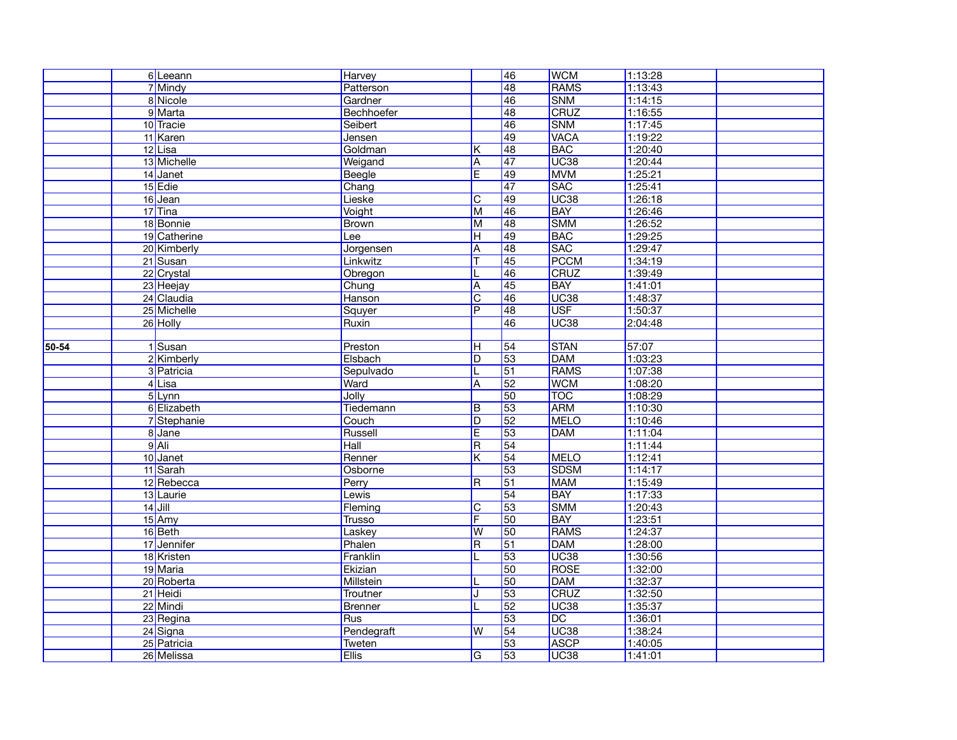|       | 6 Leeann     | <b>Harvey</b>    |                         | $\overline{46}$ | <b>WCM</b>       | 1:13:28 |  |
|-------|--------------|------------------|-------------------------|-----------------|------------------|---------|--|
|       | 7 Mindy      | Patterson        |                         | 48              | <b>RAMS</b>      | 1:13:43 |  |
|       | 8 Nicole     | Gardner          |                         | 46              | <b>SNM</b>       | 1:14:15 |  |
|       | 9 Marta      | Bechhoefer       |                         | 48              | CRUZ             | 1:16:55 |  |
|       | 10 Tracie    | Seibert          |                         | 46              | <b>SNM</b>       | 1:17:45 |  |
|       | 11 Karen     | Jensen           |                         | 49              | <b>VACA</b>      | 1:19:22 |  |
|       | 12 Lisa      | Goldman          | K                       | 48              | <b>BAC</b>       | 1:20:40 |  |
|       | 13 Michelle  | Weigand          | Α                       | $\overline{47}$ | UC <sub>38</sub> | 1:20:44 |  |
|       | 14 Janet     | Beegle           | E                       | 49              | <b>MVM</b>       | 1:25:21 |  |
|       | 15 Edie      | Chang            |                         | $\overline{47}$ | SAC              | 1:25:41 |  |
|       | 16 Jean      | Lieske           | $\overline{\text{c}}$   | $\overline{49}$ | <b>UC38</b>      | 1:26:18 |  |
|       | 17Tina       | Voight           | M                       | 46              | <b>BAY</b>       | 1:26:46 |  |
|       | 18 Bonnie    | <b>Brown</b>     | M                       | 48              | <b>SMM</b>       | 1:26:52 |  |
|       | 19 Catherine | Lee              | $\overline{\mathsf{H}}$ | $\sqrt{49}$     | <b>BAC</b>       | 1:29:25 |  |
|       | 20 Kimberly  | Jorgensen        | Α                       | 48              | <b>SAC</b>       | 1:29:47 |  |
|       | 21 Susan     | Linkwitz         | т                       | $\overline{45}$ | <b>PCCM</b>      | 1:34:19 |  |
|       | 22 Crystal   | Obregon          |                         | 46              | CRUZ             | 1:39:49 |  |
|       | 23 Heejay    | Chung            | Α                       | $\overline{45}$ | <b>BAY</b>       | 1:41:01 |  |
|       | 24 Claudia   | Hanson           | $\overline{\text{C}}$   | 46              | UC <sub>38</sub> | 1:48:37 |  |
|       | 25 Michelle  | Squyer           | $\overline{P}$          | 48              | <b>USF</b>       | 1:50:37 |  |
|       | 26 Holly     | Ruxin            |                         | 46              | <b>UC38</b>      | 2:04:48 |  |
|       |              |                  |                         |                 |                  |         |  |
| 50-54 | 1Susan       | Preston          | н                       | $\overline{54}$ | <b>STAN</b>      | 57:07   |  |
|       | 2 Kimberly   | Elsbach          | D                       | 53              | <b>DAM</b>       | 1:03:23 |  |
|       | 3 Patricia   | Sepulvado        | L                       | $\overline{51}$ | <b>RAMS</b>      | 1:07:38 |  |
|       | $4$ Lisa     | Ward             | Α                       | 52              | <b>WCM</b>       | 1:08:20 |  |
|       | 5Lynn        | Jolly            |                         | 50              | <b>TOC</b>       | 1:08:29 |  |
|       | 6 Elizabeth  | Tiedemann        | B                       | 53              | ARM              | 1:10:30 |  |
|       | 7 Stephanie  | Couch            | D                       | 52              | <b>MELO</b>      | 1:10:46 |  |
|       | 8 Jane       | Russell          | $\overline{\mathsf{E}}$ | 53              | <b>DAM</b>       | 1:11:04 |  |
|       | $9$ Ali      | Hall             | $\overline{\mathsf{R}}$ | $\overline{54}$ |                  | 1:11:44 |  |
|       | 10 Janet     | Renner           | Κ                       | $\overline{54}$ | MELO             | 1:12:41 |  |
|       | 11 Sarah     | Osborne          |                         | 53              | <b>SDSM</b>      | 1:14:17 |  |
|       | 12 Rebecca   | Perry            | R                       | $\overline{51}$ | <b>MAM</b>       | 1:15:49 |  |
|       | 13 Laurie    | Lewis            |                         | 54              | <b>BAY</b>       | 1:17:33 |  |
|       | $14$ Jill    | Fleming          | $\overline{\text{C}}$   | 53              | <b>SMM</b>       | 1:20:43 |  |
|       | 15 Amy       | Trusso           | F                       | 50              | <b>BAY</b>       | 1:23:51 |  |
|       | 16 Beth      | Laskey           | $\overline{w}$          | 50              | <b>RAMS</b>      | 1:24:37 |  |
|       | 17 Jennifer  | Phalen           | $\overline{\mathsf{R}}$ | $\overline{51}$ | <b>DAM</b>       | 1:28:00 |  |
|       | 18 Kristen   | Franklin         |                         | 53              | UC <sub>38</sub> | 1:30:56 |  |
|       | 19 Maria     | Ekizian          |                         | 50              | <b>ROSE</b>      | 1:32:00 |  |
|       | 20 Roberta   | <b>Millstein</b> |                         | 50              | <b>DAM</b>       | 1:32:37 |  |
|       | 21 Heidi     | Troutner         | J                       | 53              | <b>CRUZ</b>      | 1:32:50 |  |
|       | 22 Mindi     | Brenner          |                         | 52              | UC <sub>38</sub> | 1:35:37 |  |
|       | 23 Regina    | <b>Rus</b>       |                         | 53              | $\overline{DC}$  | 1:36:01 |  |
|       | 24 Signa     | Pendegraft       | W                       | 54              | UC <sub>38</sub> | 1:38:24 |  |
|       | 25 Patricia  | Tweten           |                         | 53              | <b>ASCP</b>      | 1:40:05 |  |
|       | 26 Melissa   | Ellis            | G                       | 53              | UC <sub>38</sub> | 1:41:01 |  |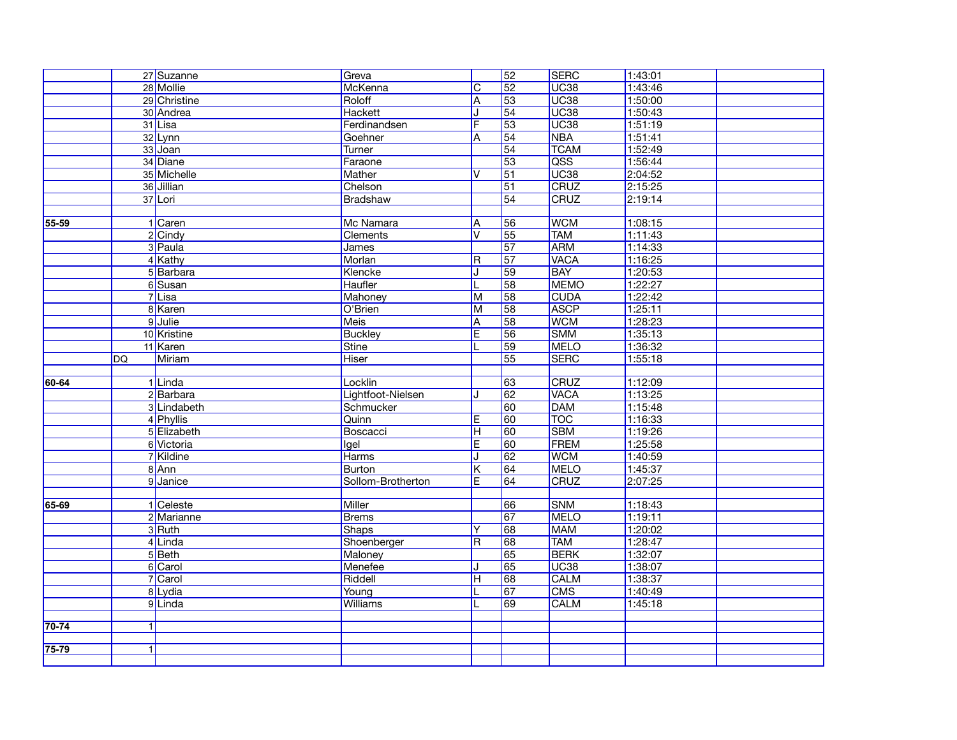| 28 Mollie<br>C<br>52<br>UC <sub>38</sub><br>1:43:46<br>McKenna<br>29 Christine<br>53<br>UC <sub>38</sub><br>1:50:00<br>Roloff<br>A<br>UC <sub>38</sub><br>54<br>30 Andrea<br>Hackett<br>1:50:43<br>53<br>UC <sub>38</sub><br>Ferdinandsen<br>F<br>1:51:19<br>31 Lisa<br>54<br><b>NBA</b><br>32 Lynn<br>1:51:41<br>Goehner<br>ΙA<br>33 Joan<br>$\overline{54}$<br><b>TCAM</b><br>1:52:49<br><b>Turner</b><br>QSS<br>34 Diane<br>$\overline{53}$<br>1:56:44<br>Faraone<br>UC <sub>38</sub><br>$\overline{51}$<br>2:04:52<br>35 Michelle<br><b>Mather</b><br>V<br>CRUZ<br>$\overline{51}$<br>2:15:25<br>36 Jillian<br>Chelson<br><b>CRUZ</b><br>54<br>2:19:14<br>37 Lori<br>Bradshaw<br><b>WCM</b><br>1:08:15<br>1 Caren<br>Mc Namara<br>56<br>55-59<br>ΙA<br>55<br>2 Cindy<br><b>V</b><br><b>TAM</b><br>1:11:43<br>Clements<br>3 Paula<br>57<br><b>ARM</b><br>1:14:33<br>James<br>$\overline{57}$<br><b>VACA</b><br>4 Kathy<br>Morlan<br>1:16:25<br>R.<br>59<br><b>BAY</b><br>Klencke<br>1:20:53<br>5Barbara<br><b>MEMO</b><br>58<br>1:22:27<br>6Susan<br><b>Haufler</b><br>IL.<br>$7$ Lisa<br>58<br><b>CUDA</b><br>1:22:42<br>Mahoney<br>lм<br><b>ASCP</b><br>8 Karen<br>58<br>1:25:11<br>O'Brien<br>M<br><b>WCM</b><br>9 Julie<br>58<br>1:28:23<br><b>Meis</b><br>ΙA<br><b>SMM</b><br>1:35:13<br>10 Kristine<br><b>Buckley</b><br>E<br>56<br>59<br><b>MELO</b><br>11 Karen<br><b>Stine</b><br>1:36:32<br>L<br><b>SERC</b><br>55<br>1:55:18<br>Miriam<br><b>Hiser</b><br><b>DQ</b><br><b>CRUZ</b><br>1:12:09<br>Locklin<br>63<br>60-64<br>1Linda<br>$\overline{62}$<br><b>VACA</b><br>1:13:25<br>2Barbara<br>Lightfoot-Nielsen<br><b>DAM</b><br>1:15:48<br>3 Lindabeth<br>Schmucker<br>60<br><b>TOC</b><br>60<br>1:16:33<br>4 Phyllis<br>Quinn<br>E<br>60<br><b>SBM</b><br>1:19:26<br>5 Elizabeth<br>Boscacci<br>Iн<br>FREM<br>6 Victoria<br>E<br>60<br>1:25:58<br><b>Igel</b><br>62<br><b>WCM</b><br>1:40:59<br>7Kildine<br><b>Harms</b><br>IJ<br>8 Ann<br><b>MELO</b><br><b>Burton</b><br>K<br>64<br>1:45:37<br>CRUZ<br>9 Janice<br>E<br>64<br>2:07:25<br>Sollom-Brotherton<br>1 Celeste<br><b>Miller</b><br>66<br><b>SNM</b><br>1:18:43<br>65-69<br><b>MELO</b><br>1:19:11<br>2 Marianne<br><b>Brems</b><br>67<br>68<br><b>MAM</b><br>3Ruth<br>1:20:02<br><b>Shaps</b><br>Y<br>4Linda<br><b>TAM</b><br>R<br>68<br>1:28:47<br>Shoenberger<br>65<br><b>BERK</b><br>5Beth<br>1:32:07<br>Maloney<br>6 Carol<br><b>UC38</b><br>Menefee<br>65<br>1:38:07<br><b>CALM</b><br>7 Carol<br>Riddell<br>68<br>1:38:37<br>Iн<br><b>CMS</b><br>8Lydia<br>Young<br>$\overline{67}$<br>1:40:49<br>9Linda<br><b>CALM</b><br><b>Williams</b><br>69<br>1:45:18<br>$70 - 74$<br>$\vert$ 1<br>75-79<br>$\vert$ 1 |  | 27 Suzanne | Greva | $\overline{52}$ | <b>SERC</b> | 1:43:01 |  |
|----------------------------------------------------------------------------------------------------------------------------------------------------------------------------------------------------------------------------------------------------------------------------------------------------------------------------------------------------------------------------------------------------------------------------------------------------------------------------------------------------------------------------------------------------------------------------------------------------------------------------------------------------------------------------------------------------------------------------------------------------------------------------------------------------------------------------------------------------------------------------------------------------------------------------------------------------------------------------------------------------------------------------------------------------------------------------------------------------------------------------------------------------------------------------------------------------------------------------------------------------------------------------------------------------------------------------------------------------------------------------------------------------------------------------------------------------------------------------------------------------------------------------------------------------------------------------------------------------------------------------------------------------------------------------------------------------------------------------------------------------------------------------------------------------------------------------------------------------------------------------------------------------------------------------------------------------------------------------------------------------------------------------------------------------------------------------------------------------------------------------------------------------------------------------------------------------------------------------------------------------------------------------------------------------------------------------------------------------------------------------------------------------------------------------------------------------------------------------------------------------------------------------------------------------------------------------------------------------------------------------------------------------------------------------------------------|--|------------|-------|-----------------|-------------|---------|--|
|                                                                                                                                                                                                                                                                                                                                                                                                                                                                                                                                                                                                                                                                                                                                                                                                                                                                                                                                                                                                                                                                                                                                                                                                                                                                                                                                                                                                                                                                                                                                                                                                                                                                                                                                                                                                                                                                                                                                                                                                                                                                                                                                                                                                                                                                                                                                                                                                                                                                                                                                                                                                                                                                                              |  |            |       |                 |             |         |  |
|                                                                                                                                                                                                                                                                                                                                                                                                                                                                                                                                                                                                                                                                                                                                                                                                                                                                                                                                                                                                                                                                                                                                                                                                                                                                                                                                                                                                                                                                                                                                                                                                                                                                                                                                                                                                                                                                                                                                                                                                                                                                                                                                                                                                                                                                                                                                                                                                                                                                                                                                                                                                                                                                                              |  |            |       |                 |             |         |  |
|                                                                                                                                                                                                                                                                                                                                                                                                                                                                                                                                                                                                                                                                                                                                                                                                                                                                                                                                                                                                                                                                                                                                                                                                                                                                                                                                                                                                                                                                                                                                                                                                                                                                                                                                                                                                                                                                                                                                                                                                                                                                                                                                                                                                                                                                                                                                                                                                                                                                                                                                                                                                                                                                                              |  |            |       |                 |             |         |  |
|                                                                                                                                                                                                                                                                                                                                                                                                                                                                                                                                                                                                                                                                                                                                                                                                                                                                                                                                                                                                                                                                                                                                                                                                                                                                                                                                                                                                                                                                                                                                                                                                                                                                                                                                                                                                                                                                                                                                                                                                                                                                                                                                                                                                                                                                                                                                                                                                                                                                                                                                                                                                                                                                                              |  |            |       |                 |             |         |  |
|                                                                                                                                                                                                                                                                                                                                                                                                                                                                                                                                                                                                                                                                                                                                                                                                                                                                                                                                                                                                                                                                                                                                                                                                                                                                                                                                                                                                                                                                                                                                                                                                                                                                                                                                                                                                                                                                                                                                                                                                                                                                                                                                                                                                                                                                                                                                                                                                                                                                                                                                                                                                                                                                                              |  |            |       |                 |             |         |  |
|                                                                                                                                                                                                                                                                                                                                                                                                                                                                                                                                                                                                                                                                                                                                                                                                                                                                                                                                                                                                                                                                                                                                                                                                                                                                                                                                                                                                                                                                                                                                                                                                                                                                                                                                                                                                                                                                                                                                                                                                                                                                                                                                                                                                                                                                                                                                                                                                                                                                                                                                                                                                                                                                                              |  |            |       |                 |             |         |  |
|                                                                                                                                                                                                                                                                                                                                                                                                                                                                                                                                                                                                                                                                                                                                                                                                                                                                                                                                                                                                                                                                                                                                                                                                                                                                                                                                                                                                                                                                                                                                                                                                                                                                                                                                                                                                                                                                                                                                                                                                                                                                                                                                                                                                                                                                                                                                                                                                                                                                                                                                                                                                                                                                                              |  |            |       |                 |             |         |  |
|                                                                                                                                                                                                                                                                                                                                                                                                                                                                                                                                                                                                                                                                                                                                                                                                                                                                                                                                                                                                                                                                                                                                                                                                                                                                                                                                                                                                                                                                                                                                                                                                                                                                                                                                                                                                                                                                                                                                                                                                                                                                                                                                                                                                                                                                                                                                                                                                                                                                                                                                                                                                                                                                                              |  |            |       |                 |             |         |  |
|                                                                                                                                                                                                                                                                                                                                                                                                                                                                                                                                                                                                                                                                                                                                                                                                                                                                                                                                                                                                                                                                                                                                                                                                                                                                                                                                                                                                                                                                                                                                                                                                                                                                                                                                                                                                                                                                                                                                                                                                                                                                                                                                                                                                                                                                                                                                                                                                                                                                                                                                                                                                                                                                                              |  |            |       |                 |             |         |  |
|                                                                                                                                                                                                                                                                                                                                                                                                                                                                                                                                                                                                                                                                                                                                                                                                                                                                                                                                                                                                                                                                                                                                                                                                                                                                                                                                                                                                                                                                                                                                                                                                                                                                                                                                                                                                                                                                                                                                                                                                                                                                                                                                                                                                                                                                                                                                                                                                                                                                                                                                                                                                                                                                                              |  |            |       |                 |             |         |  |
|                                                                                                                                                                                                                                                                                                                                                                                                                                                                                                                                                                                                                                                                                                                                                                                                                                                                                                                                                                                                                                                                                                                                                                                                                                                                                                                                                                                                                                                                                                                                                                                                                                                                                                                                                                                                                                                                                                                                                                                                                                                                                                                                                                                                                                                                                                                                                                                                                                                                                                                                                                                                                                                                                              |  |            |       |                 |             |         |  |
|                                                                                                                                                                                                                                                                                                                                                                                                                                                                                                                                                                                                                                                                                                                                                                                                                                                                                                                                                                                                                                                                                                                                                                                                                                                                                                                                                                                                                                                                                                                                                                                                                                                                                                                                                                                                                                                                                                                                                                                                                                                                                                                                                                                                                                                                                                                                                                                                                                                                                                                                                                                                                                                                                              |  |            |       |                 |             |         |  |
|                                                                                                                                                                                                                                                                                                                                                                                                                                                                                                                                                                                                                                                                                                                                                                                                                                                                                                                                                                                                                                                                                                                                                                                                                                                                                                                                                                                                                                                                                                                                                                                                                                                                                                                                                                                                                                                                                                                                                                                                                                                                                                                                                                                                                                                                                                                                                                                                                                                                                                                                                                                                                                                                                              |  |            |       |                 |             |         |  |
|                                                                                                                                                                                                                                                                                                                                                                                                                                                                                                                                                                                                                                                                                                                                                                                                                                                                                                                                                                                                                                                                                                                                                                                                                                                                                                                                                                                                                                                                                                                                                                                                                                                                                                                                                                                                                                                                                                                                                                                                                                                                                                                                                                                                                                                                                                                                                                                                                                                                                                                                                                                                                                                                                              |  |            |       |                 |             |         |  |
|                                                                                                                                                                                                                                                                                                                                                                                                                                                                                                                                                                                                                                                                                                                                                                                                                                                                                                                                                                                                                                                                                                                                                                                                                                                                                                                                                                                                                                                                                                                                                                                                                                                                                                                                                                                                                                                                                                                                                                                                                                                                                                                                                                                                                                                                                                                                                                                                                                                                                                                                                                                                                                                                                              |  |            |       |                 |             |         |  |
|                                                                                                                                                                                                                                                                                                                                                                                                                                                                                                                                                                                                                                                                                                                                                                                                                                                                                                                                                                                                                                                                                                                                                                                                                                                                                                                                                                                                                                                                                                                                                                                                                                                                                                                                                                                                                                                                                                                                                                                                                                                                                                                                                                                                                                                                                                                                                                                                                                                                                                                                                                                                                                                                                              |  |            |       |                 |             |         |  |
|                                                                                                                                                                                                                                                                                                                                                                                                                                                                                                                                                                                                                                                                                                                                                                                                                                                                                                                                                                                                                                                                                                                                                                                                                                                                                                                                                                                                                                                                                                                                                                                                                                                                                                                                                                                                                                                                                                                                                                                                                                                                                                                                                                                                                                                                                                                                                                                                                                                                                                                                                                                                                                                                                              |  |            |       |                 |             |         |  |
|                                                                                                                                                                                                                                                                                                                                                                                                                                                                                                                                                                                                                                                                                                                                                                                                                                                                                                                                                                                                                                                                                                                                                                                                                                                                                                                                                                                                                                                                                                                                                                                                                                                                                                                                                                                                                                                                                                                                                                                                                                                                                                                                                                                                                                                                                                                                                                                                                                                                                                                                                                                                                                                                                              |  |            |       |                 |             |         |  |
|                                                                                                                                                                                                                                                                                                                                                                                                                                                                                                                                                                                                                                                                                                                                                                                                                                                                                                                                                                                                                                                                                                                                                                                                                                                                                                                                                                                                                                                                                                                                                                                                                                                                                                                                                                                                                                                                                                                                                                                                                                                                                                                                                                                                                                                                                                                                                                                                                                                                                                                                                                                                                                                                                              |  |            |       |                 |             |         |  |
|                                                                                                                                                                                                                                                                                                                                                                                                                                                                                                                                                                                                                                                                                                                                                                                                                                                                                                                                                                                                                                                                                                                                                                                                                                                                                                                                                                                                                                                                                                                                                                                                                                                                                                                                                                                                                                                                                                                                                                                                                                                                                                                                                                                                                                                                                                                                                                                                                                                                                                                                                                                                                                                                                              |  |            |       |                 |             |         |  |
|                                                                                                                                                                                                                                                                                                                                                                                                                                                                                                                                                                                                                                                                                                                                                                                                                                                                                                                                                                                                                                                                                                                                                                                                                                                                                                                                                                                                                                                                                                                                                                                                                                                                                                                                                                                                                                                                                                                                                                                                                                                                                                                                                                                                                                                                                                                                                                                                                                                                                                                                                                                                                                                                                              |  |            |       |                 |             |         |  |
|                                                                                                                                                                                                                                                                                                                                                                                                                                                                                                                                                                                                                                                                                                                                                                                                                                                                                                                                                                                                                                                                                                                                                                                                                                                                                                                                                                                                                                                                                                                                                                                                                                                                                                                                                                                                                                                                                                                                                                                                                                                                                                                                                                                                                                                                                                                                                                                                                                                                                                                                                                                                                                                                                              |  |            |       |                 |             |         |  |
|                                                                                                                                                                                                                                                                                                                                                                                                                                                                                                                                                                                                                                                                                                                                                                                                                                                                                                                                                                                                                                                                                                                                                                                                                                                                                                                                                                                                                                                                                                                                                                                                                                                                                                                                                                                                                                                                                                                                                                                                                                                                                                                                                                                                                                                                                                                                                                                                                                                                                                                                                                                                                                                                                              |  |            |       |                 |             |         |  |
|                                                                                                                                                                                                                                                                                                                                                                                                                                                                                                                                                                                                                                                                                                                                                                                                                                                                                                                                                                                                                                                                                                                                                                                                                                                                                                                                                                                                                                                                                                                                                                                                                                                                                                                                                                                                                                                                                                                                                                                                                                                                                                                                                                                                                                                                                                                                                                                                                                                                                                                                                                                                                                                                                              |  |            |       |                 |             |         |  |
|                                                                                                                                                                                                                                                                                                                                                                                                                                                                                                                                                                                                                                                                                                                                                                                                                                                                                                                                                                                                                                                                                                                                                                                                                                                                                                                                                                                                                                                                                                                                                                                                                                                                                                                                                                                                                                                                                                                                                                                                                                                                                                                                                                                                                                                                                                                                                                                                                                                                                                                                                                                                                                                                                              |  |            |       |                 |             |         |  |
|                                                                                                                                                                                                                                                                                                                                                                                                                                                                                                                                                                                                                                                                                                                                                                                                                                                                                                                                                                                                                                                                                                                                                                                                                                                                                                                                                                                                                                                                                                                                                                                                                                                                                                                                                                                                                                                                                                                                                                                                                                                                                                                                                                                                                                                                                                                                                                                                                                                                                                                                                                                                                                                                                              |  |            |       |                 |             |         |  |
|                                                                                                                                                                                                                                                                                                                                                                                                                                                                                                                                                                                                                                                                                                                                                                                                                                                                                                                                                                                                                                                                                                                                                                                                                                                                                                                                                                                                                                                                                                                                                                                                                                                                                                                                                                                                                                                                                                                                                                                                                                                                                                                                                                                                                                                                                                                                                                                                                                                                                                                                                                                                                                                                                              |  |            |       |                 |             |         |  |
|                                                                                                                                                                                                                                                                                                                                                                                                                                                                                                                                                                                                                                                                                                                                                                                                                                                                                                                                                                                                                                                                                                                                                                                                                                                                                                                                                                                                                                                                                                                                                                                                                                                                                                                                                                                                                                                                                                                                                                                                                                                                                                                                                                                                                                                                                                                                                                                                                                                                                                                                                                                                                                                                                              |  |            |       |                 |             |         |  |
|                                                                                                                                                                                                                                                                                                                                                                                                                                                                                                                                                                                                                                                                                                                                                                                                                                                                                                                                                                                                                                                                                                                                                                                                                                                                                                                                                                                                                                                                                                                                                                                                                                                                                                                                                                                                                                                                                                                                                                                                                                                                                                                                                                                                                                                                                                                                                                                                                                                                                                                                                                                                                                                                                              |  |            |       |                 |             |         |  |
|                                                                                                                                                                                                                                                                                                                                                                                                                                                                                                                                                                                                                                                                                                                                                                                                                                                                                                                                                                                                                                                                                                                                                                                                                                                                                                                                                                                                                                                                                                                                                                                                                                                                                                                                                                                                                                                                                                                                                                                                                                                                                                                                                                                                                                                                                                                                                                                                                                                                                                                                                                                                                                                                                              |  |            |       |                 |             |         |  |
|                                                                                                                                                                                                                                                                                                                                                                                                                                                                                                                                                                                                                                                                                                                                                                                                                                                                                                                                                                                                                                                                                                                                                                                                                                                                                                                                                                                                                                                                                                                                                                                                                                                                                                                                                                                                                                                                                                                                                                                                                                                                                                                                                                                                                                                                                                                                                                                                                                                                                                                                                                                                                                                                                              |  |            |       |                 |             |         |  |
|                                                                                                                                                                                                                                                                                                                                                                                                                                                                                                                                                                                                                                                                                                                                                                                                                                                                                                                                                                                                                                                                                                                                                                                                                                                                                                                                                                                                                                                                                                                                                                                                                                                                                                                                                                                                                                                                                                                                                                                                                                                                                                                                                                                                                                                                                                                                                                                                                                                                                                                                                                                                                                                                                              |  |            |       |                 |             |         |  |
|                                                                                                                                                                                                                                                                                                                                                                                                                                                                                                                                                                                                                                                                                                                                                                                                                                                                                                                                                                                                                                                                                                                                                                                                                                                                                                                                                                                                                                                                                                                                                                                                                                                                                                                                                                                                                                                                                                                                                                                                                                                                                                                                                                                                                                                                                                                                                                                                                                                                                                                                                                                                                                                                                              |  |            |       |                 |             |         |  |
|                                                                                                                                                                                                                                                                                                                                                                                                                                                                                                                                                                                                                                                                                                                                                                                                                                                                                                                                                                                                                                                                                                                                                                                                                                                                                                                                                                                                                                                                                                                                                                                                                                                                                                                                                                                                                                                                                                                                                                                                                                                                                                                                                                                                                                                                                                                                                                                                                                                                                                                                                                                                                                                                                              |  |            |       |                 |             |         |  |
|                                                                                                                                                                                                                                                                                                                                                                                                                                                                                                                                                                                                                                                                                                                                                                                                                                                                                                                                                                                                                                                                                                                                                                                                                                                                                                                                                                                                                                                                                                                                                                                                                                                                                                                                                                                                                                                                                                                                                                                                                                                                                                                                                                                                                                                                                                                                                                                                                                                                                                                                                                                                                                                                                              |  |            |       |                 |             |         |  |
|                                                                                                                                                                                                                                                                                                                                                                                                                                                                                                                                                                                                                                                                                                                                                                                                                                                                                                                                                                                                                                                                                                                                                                                                                                                                                                                                                                                                                                                                                                                                                                                                                                                                                                                                                                                                                                                                                                                                                                                                                                                                                                                                                                                                                                                                                                                                                                                                                                                                                                                                                                                                                                                                                              |  |            |       |                 |             |         |  |
|                                                                                                                                                                                                                                                                                                                                                                                                                                                                                                                                                                                                                                                                                                                                                                                                                                                                                                                                                                                                                                                                                                                                                                                                                                                                                                                                                                                                                                                                                                                                                                                                                                                                                                                                                                                                                                                                                                                                                                                                                                                                                                                                                                                                                                                                                                                                                                                                                                                                                                                                                                                                                                                                                              |  |            |       |                 |             |         |  |
|                                                                                                                                                                                                                                                                                                                                                                                                                                                                                                                                                                                                                                                                                                                                                                                                                                                                                                                                                                                                                                                                                                                                                                                                                                                                                                                                                                                                                                                                                                                                                                                                                                                                                                                                                                                                                                                                                                                                                                                                                                                                                                                                                                                                                                                                                                                                                                                                                                                                                                                                                                                                                                                                                              |  |            |       |                 |             |         |  |
|                                                                                                                                                                                                                                                                                                                                                                                                                                                                                                                                                                                                                                                                                                                                                                                                                                                                                                                                                                                                                                                                                                                                                                                                                                                                                                                                                                                                                                                                                                                                                                                                                                                                                                                                                                                                                                                                                                                                                                                                                                                                                                                                                                                                                                                                                                                                                                                                                                                                                                                                                                                                                                                                                              |  |            |       |                 |             |         |  |
|                                                                                                                                                                                                                                                                                                                                                                                                                                                                                                                                                                                                                                                                                                                                                                                                                                                                                                                                                                                                                                                                                                                                                                                                                                                                                                                                                                                                                                                                                                                                                                                                                                                                                                                                                                                                                                                                                                                                                                                                                                                                                                                                                                                                                                                                                                                                                                                                                                                                                                                                                                                                                                                                                              |  |            |       |                 |             |         |  |
|                                                                                                                                                                                                                                                                                                                                                                                                                                                                                                                                                                                                                                                                                                                                                                                                                                                                                                                                                                                                                                                                                                                                                                                                                                                                                                                                                                                                                                                                                                                                                                                                                                                                                                                                                                                                                                                                                                                                                                                                                                                                                                                                                                                                                                                                                                                                                                                                                                                                                                                                                                                                                                                                                              |  |            |       |                 |             |         |  |
|                                                                                                                                                                                                                                                                                                                                                                                                                                                                                                                                                                                                                                                                                                                                                                                                                                                                                                                                                                                                                                                                                                                                                                                                                                                                                                                                                                                                                                                                                                                                                                                                                                                                                                                                                                                                                                                                                                                                                                                                                                                                                                                                                                                                                                                                                                                                                                                                                                                                                                                                                                                                                                                                                              |  |            |       |                 |             |         |  |
|                                                                                                                                                                                                                                                                                                                                                                                                                                                                                                                                                                                                                                                                                                                                                                                                                                                                                                                                                                                                                                                                                                                                                                                                                                                                                                                                                                                                                                                                                                                                                                                                                                                                                                                                                                                                                                                                                                                                                                                                                                                                                                                                                                                                                                                                                                                                                                                                                                                                                                                                                                                                                                                                                              |  |            |       |                 |             |         |  |
|                                                                                                                                                                                                                                                                                                                                                                                                                                                                                                                                                                                                                                                                                                                                                                                                                                                                                                                                                                                                                                                                                                                                                                                                                                                                                                                                                                                                                                                                                                                                                                                                                                                                                                                                                                                                                                                                                                                                                                                                                                                                                                                                                                                                                                                                                                                                                                                                                                                                                                                                                                                                                                                                                              |  |            |       |                 |             |         |  |
|                                                                                                                                                                                                                                                                                                                                                                                                                                                                                                                                                                                                                                                                                                                                                                                                                                                                                                                                                                                                                                                                                                                                                                                                                                                                                                                                                                                                                                                                                                                                                                                                                                                                                                                                                                                                                                                                                                                                                                                                                                                                                                                                                                                                                                                                                                                                                                                                                                                                                                                                                                                                                                                                                              |  |            |       |                 |             |         |  |
|                                                                                                                                                                                                                                                                                                                                                                                                                                                                                                                                                                                                                                                                                                                                                                                                                                                                                                                                                                                                                                                                                                                                                                                                                                                                                                                                                                                                                                                                                                                                                                                                                                                                                                                                                                                                                                                                                                                                                                                                                                                                                                                                                                                                                                                                                                                                                                                                                                                                                                                                                                                                                                                                                              |  |            |       |                 |             |         |  |
|                                                                                                                                                                                                                                                                                                                                                                                                                                                                                                                                                                                                                                                                                                                                                                                                                                                                                                                                                                                                                                                                                                                                                                                                                                                                                                                                                                                                                                                                                                                                                                                                                                                                                                                                                                                                                                                                                                                                                                                                                                                                                                                                                                                                                                                                                                                                                                                                                                                                                                                                                                                                                                                                                              |  |            |       |                 |             |         |  |